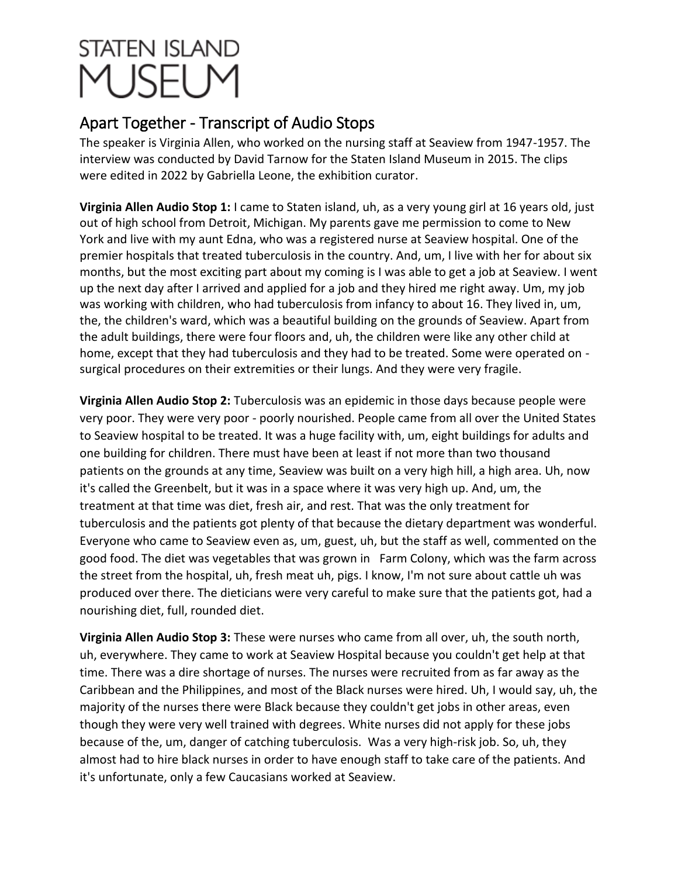## **STATEN ISLAND** 1 JSFL M

## Apart Together - Transcript of Audio Stops

The speaker is Virginia Allen, who worked on the nursing staff at Seaview from 1947-1957. The interview was conducted by David Tarnow for the Staten Island Museum in 2015. The clips were edited in 2022 by Gabriella Leone, the exhibition curator.

**Virginia Allen Audio Stop 1:** I came to Staten island, uh, as a very young girl at 16 years old, just out of high school from Detroit, Michigan. My parents gave me permission to come to New York and live with my aunt Edna, who was a registered nurse at Seaview hospital. One of the premier hospitals that treated tuberculosis in the country. And, um, I live with her for about six months, but the most exciting part about my coming is I was able to get a job at Seaview. I went up the next day after I arrived and applied for a job and they hired me right away. Um, my job was working with children, who had tuberculosis from infancy to about 16. They lived in, um, the, the children's ward, which was a beautiful building on the grounds of Seaview. Apart from the adult buildings, there were four floors and, uh, the children were like any other child at home, except that they had tuberculosis and they had to be treated. Some were operated on surgical procedures on their extremities or their lungs. And they were very fragile.

**Virginia Allen Audio Stop 2:** Tuberculosis was an epidemic in those days because people were very poor. They were very poor - poorly nourished. People came from all over the United States to Seaview hospital to be treated. It was a huge facility with, um, eight buildings for adults and one building for children. There must have been at least if not more than two thousand patients on the grounds at any time, Seaview was built on a very high hill, a high area. Uh, now it's called the Greenbelt, but it was in a space where it was very high up. And, um, the treatment at that time was diet, fresh air, and rest. That was the only treatment for tuberculosis and the patients got plenty of that because the dietary department was wonderful. Everyone who came to Seaview even as, um, guest, uh, but the staff as well, commented on the good food. The diet was vegetables that was grown in Farm Colony, which was the farm across the street from the hospital, uh, fresh meat uh, pigs. I know, I'm not sure about cattle uh was produced over there. The dieticians were very careful to make sure that the patients got, had a nourishing diet, full, rounded diet.

**Virginia Allen Audio Stop 3:** These were nurses who came from all over, uh, the south north, uh, everywhere. They came to work at Seaview Hospital because you couldn't get help at that time. There was a dire shortage of nurses. The nurses were recruited from as far away as the Caribbean and the Philippines, and most of the Black nurses were hired. Uh, I would say, uh, the majority of the nurses there were Black because they couldn't get jobs in other areas, even though they were very well trained with degrees. White nurses did not apply for these jobs because of the, um, danger of catching tuberculosis. Was a very high-risk job. So, uh, they almost had to hire black nurses in order to have enough staff to take care of the patients. And it's unfortunate, only a few Caucasians worked at Seaview.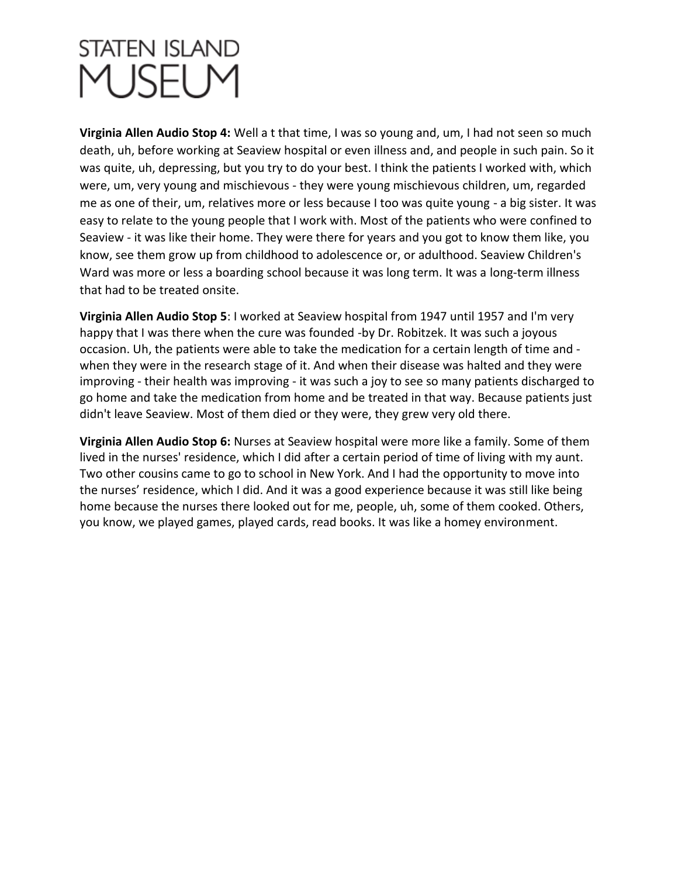## **STATEN ISLAND** 1 JSFI N

**Virginia Allen Audio Stop 4:** Well a t that time, I was so young and, um, I had not seen so much death, uh, before working at Seaview hospital or even illness and, and people in such pain. So it was quite, uh, depressing, but you try to do your best. I think the patients I worked with, which were, um, very young and mischievous - they were young mischievous children, um, regarded me as one of their, um, relatives more or less because I too was quite young - a big sister. It was easy to relate to the young people that I work with. Most of the patients who were confined to Seaview - it was like their home. They were there for years and you got to know them like, you know, see them grow up from childhood to adolescence or, or adulthood. Seaview Children's Ward was more or less a boarding school because it was long term. It was a long-term illness that had to be treated onsite.

**Virginia Allen Audio Stop 5**: I worked at Seaview hospital from 1947 until 1957 and I'm very happy that I was there when the cure was founded -by Dr. Robitzek. It was such a joyous occasion. Uh, the patients were able to take the medication for a certain length of time and when they were in the research stage of it. And when their disease was halted and they were improving - their health was improving - it was such a joy to see so many patients discharged to go home and take the medication from home and be treated in that way. Because patients just didn't leave Seaview. Most of them died or they were, they grew very old there.

**Virginia Allen Audio Stop 6:** Nurses at Seaview hospital were more like a family. Some of them lived in the nurses' residence, which I did after a certain period of time of living with my aunt. Two other cousins came to go to school in New York. And I had the opportunity to move into the nurses' residence, which I did. And it was a good experience because it was still like being home because the nurses there looked out for me, people, uh, some of them cooked. Others, you know, we played games, played cards, read books. It was like a homey environment.